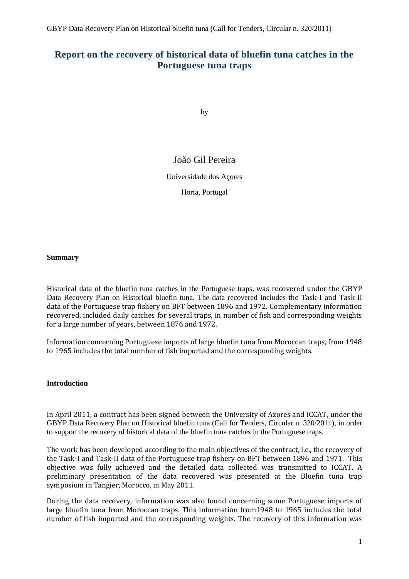## **Report on the recovery of historical data of bluefin tuna catches in the Portuguese tuna traps**

by

## João Gil Pereira

Universidade dos Açores

Horta, Portugal

#### **Summary**

Historical data of the bluefin tuna catches in the Portuguese traps, was recovered under the GBYP Data Recovery Plan on Historical bluefin tuna. The data recovered includes the Task-I and Task-II data of the Portuguese trap fishery on BFT between 1896 and 1972. Complementary information recovered, included daily catches for several traps, in number of fish and corresponding weights for a large number of years, between 1876 and 1972.

Information concerning Portuguese imports of large bluefin tuna from Moroccan traps, from 1948 to 1965 includes the total number of fish imported and the corresponding weights.

#### **Introduction**

In April 2011, a contract has been signed between the University of Azores and ICCAT, under the GBYP Data Recovery Plan on Historical bluefin tuna (Call for Tenders, Circular n. 320/2011), in order to support the recovery of historical data of the bluefin tuna catches in the Portuguese traps.

The work has been developed according to the main objectives of the contract, i.e., the recovery of the Task-I and Task-II data of the Portuguese trap fishery on BFT between 1896 and 1971. This objective was fully achieved and the detailed data collected was transmitted to ICCAT. A preliminary presentation of the data recovered was presented at the Bluefin tuna trap symposium in Tangier, Morocco, in May 2011.

During the data recovery, information was also found concerning some Portuguese imports of large bluefin tuna from Moroccan traps. This information from1948 to 1965 includes the total number of fish imported and the corresponding weights. The recovery of this information was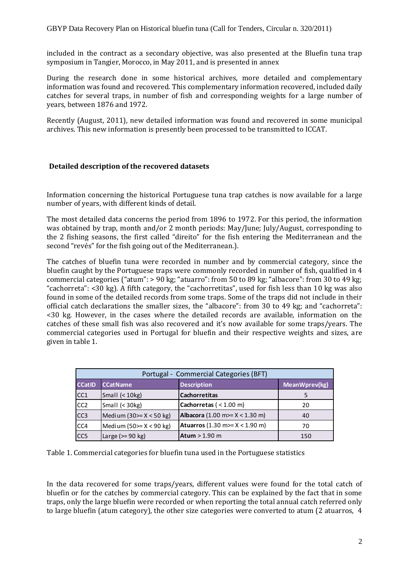included in the contract as a secondary objective, was also presented at the Bluefin tuna trap symposium in Tangier, Morocco, in May 2011, and is presented in annex

During the research done in some historical archives, more detailed and complementary information was found and recovered. This complementary information recovered, included daily catches for several traps, in number of fish and corresponding weights for a large number of years, between 1876 and 1972.

Recently (August, 2011), new detailed information was found and recovered in some municipal archives. This new information is presently been processed to be transmitted to ICCAT.

#### **Detailed description of the recovered datasets**

Information concerning the historical Portuguese tuna trap catches is now available for a large number of years, with different kinds of detail.

The most detailed data concerns the period from 1896 to 1972. For this period, the information was obtained by trap, month and/or 2 month periods: May/June; July/August, corresponding to the 2 fishing seasons, the first called "direito" for the fish entering the Mediterranean and the second "revés" for the fish going out of the Mediterranean.).

The catches of bluefin tuna were recorded in number and by commercial category, since the bluefin caught by the Portuguese traps were commonly recorded in number of fish, qualified in 4 commercial categories ("atum": > 90 kg; "atuarro": from 50 to 89 kg; "albacore": from 30 to 49 kg; "cachorreta": <30 kg). A fifth category, the "cachorretitas", used for fish less than 10 kg was also found in some of the detailed records from some traps. Some of the traps did not include in their official catch declarations the smaller sizes, the "albacore": from 30 to 49 kg; and "cachorreta": <30 kg. However, in the cases where the detailed records are available, information on the catches of these small fish was also recovered and it's now available for some traps/years. The commercial categories used in Portugal for bluefin and their respective weights and sizes, are given in table 1.

|                  |                           | Portugal - Commercial Categories (BFT)   |               |
|------------------|---------------------------|------------------------------------------|---------------|
| <b>CCatID</b>    | <b>CCatName</b>           | <b>Description</b>                       | MeanWprev(kg) |
| ICC1             | Small $(10kg)$            | <b>Cachorretitas</b>                     |               |
| CC <sub>2</sub>  | Small $(30kg)$            | Cachorretas ( $<$ 1.00 m)                | 20            |
| CC <sub>3</sub>  | Medium $(30)= X < 50$ kg) | <b>Albacora</b> (1.00 m>= $X < 1.30$ m)  | 40            |
| CC <sub>4</sub>  | Medium $(50)=X < 90$ kg)  | <b>Atuarros</b> (1.30 m >= $X$ < 1.90 m) | 70            |
| ICC <sub>5</sub> | Large $(>= 90$ kg)        | Atum $> 1.90$ m                          | 150           |

Table 1. Commercial categories for bluefin tuna used in the Portuguese statistics

In the data recovered for some traps/years, different values were found for the total catch of bluefin or for the catches by commercial category. This can be explained by the fact that in some traps, only the large bluefin were recorded or when reporting the total annual catch referred only to large bluefin (atum category), the other size categories were converted to atum (2 atuarros, 4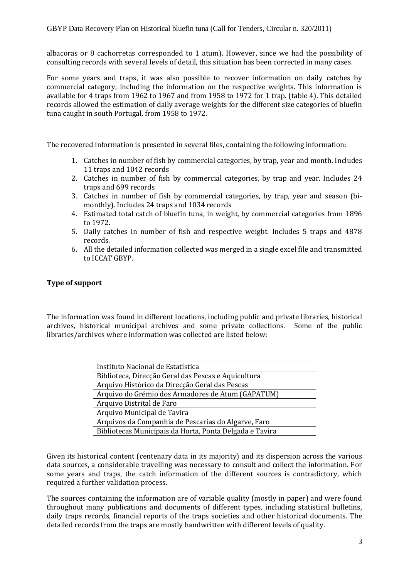albacoras or 8 cachorretas corresponded to 1 atum). However, since we had the possibility of consulting records with several levels of detail, this situation has been corrected in many cases.

For some years and traps, it was also possible to recover information on daily catches by commercial category, including the information on the respective weights. This information is available for 4 traps from 1962 to 1967 and from 1958 to 1972 for 1 trap. (table 4). This detailed records allowed the estimation of daily average weights for the different size categories of bluefin tuna caught in south Portugal, from 1958 to 1972.

The recovered information is presented in several files, containing the following information:

- 1. Catches in number of fish by commercial categories, by trap, year and month. Includes 11 traps and 1042 records
- 2. Catches in number of fish by commercial categories, by trap and year. Includes 24 traps and 699 records
- 3. Catches in number of fish by commercial categories, by trap, year and season (bimonthly). Includes 24 traps and 1034 records
- 4. Estimated total catch of bluefin tuna, in weight, by commercial categories from 1896 to 1972.
- 5. Daily catches in number of fish and respective weight. Includes 5 traps and 4878 records.
- 6. All the detailed information collected was merged in a single excel file and transmitted to ICCAT GBYP.

### **Type of support**

The information was found in different locations, including public and private libraries, historical archives, historical municipal archives and some private collections. Some of the public libraries/archives where information was collected are listed below:

| Instituto Nacional de Estatística                       |  |  |  |  |  |  |
|---------------------------------------------------------|--|--|--|--|--|--|
| Biblioteca, Direcção Geral das Pescas e Aquicultura     |  |  |  |  |  |  |
| Arquivo Histórico da Direcção Geral das Pescas          |  |  |  |  |  |  |
| Arquivo do Grémio dos Armadores de Atum (GAPATUM)       |  |  |  |  |  |  |
| Arquivo Distrital de Faro                               |  |  |  |  |  |  |
| Arquivo Municipal de Tavira                             |  |  |  |  |  |  |
| Arquivos da Companhia de Pescarias do Algarve, Faro     |  |  |  |  |  |  |
| Bibliotecas Municipais da Horta, Ponta Delgada e Tavira |  |  |  |  |  |  |

Given its historical content (centenary data in its majority) and its dispersion across the various data sources, a considerable travelling was necessary to consult and collect the information. For some years and traps, the catch information of the different sources is contradictory, which required a further validation process.

The sources containing the information are of variable quality (mostly in paper) and were found throughout many publications and documents of different types, including statistical bulletins, daily traps records, financial reports of the traps societies and other historical documents. The detailed records from the traps are mostly handwritten with different levels of quality.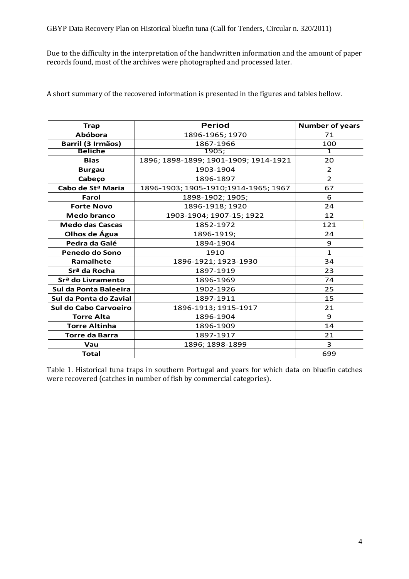Due to the difficulty in the interpretation of the handwritten information and the amount of paper records found, most of the archives were photographed and processed later.

A short summary of the recovered information is presented in the figures and tables bellow.

| <b>Trap</b>                   | <b>Period</b>                         | <b>Number of years</b> |
|-------------------------------|---------------------------------------|------------------------|
| <b>Abóbora</b>                | 1896-1965; 1970                       | 71                     |
| Barril (3 Irmãos)             | 1867-1966                             | 100                    |
| <b>Beliche</b>                | 1905;                                 | $\mathbf{1}$           |
| <b>Bias</b>                   | 1896; 1898-1899; 1901-1909; 1914-1921 | 20                     |
| <b>Burgau</b>                 | 1903-1904                             | $\overline{2}$         |
| Cabeço                        | 1896-1897                             | $\overline{2}$         |
| Cabo de St <sup>a</sup> Maria | 1896-1903; 1905-1910;1914-1965; 1967  | 67                     |
| Farol                         | 1898-1902; 1905;                      | 6                      |
| <b>Forte Novo</b>             | 1896-1918; 1920                       | 24                     |
| <b>Medo branco</b>            | 1903-1904; 1907-15; 1922              | 12                     |
| <b>Medo das Cascas</b>        | 1852-1972                             | 121                    |
| Olhos de Água                 | 1896-1919;                            | 24                     |
| Pedra da Galé                 | 1894-1904                             | 9                      |
| Penedo do Sono                | 1910                                  | $\mathbf{1}$           |
| Ramalhete                     | 1896-1921; 1923-1930                  | 34                     |
| Srª da Rocha                  | 1897-1919                             | 23                     |
| Srª do Livramento             | 1896-1969                             | 74                     |
| Sul da Ponta Baleeira         | 1902-1926                             | 25                     |
| Sul da Ponta do Zavial        | 1897-1911                             | 15                     |
| Sul do Cabo Carvoeiro         | 1896-1913; 1915-1917                  | 21                     |
| <b>Torre Alta</b>             | 1896-1904                             | 9                      |
| <b>Torre Altinha</b>          | 1896-1909                             | 14                     |
| <b>Torre da Barra</b>         | 1897-1917                             | 21                     |
| Vau                           | 1896; 1898-1899                       | 3                      |
| <b>Total</b>                  |                                       | 699                    |

Table 1. Historical tuna traps in southern Portugal and years for which data on bluefin catches were recovered (catches in number of fish by commercial categories).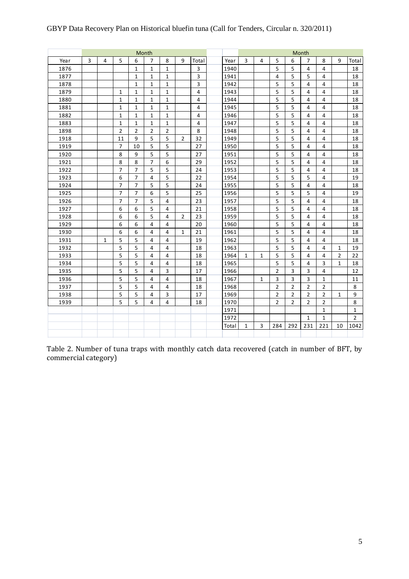|      |   |              |                |                | Month          |                |                |                |       |              |                |                |                | Month          |                |                |                |
|------|---|--------------|----------------|----------------|----------------|----------------|----------------|----------------|-------|--------------|----------------|----------------|----------------|----------------|----------------|----------------|----------------|
| Year | 3 | 4            | 5              | 6              | $\overline{7}$ | 8              | 9              | Total          | Year  | 3            | 4              | 5              | 6              | $\overline{7}$ | 8              | 9              | Total          |
| 1876 |   |              |                | $\mathbf 1$    | $\mathbf{1}$   | $\mathbf{1}$   |                | 3              | 1940  |              |                | 5              | 5              | $\overline{4}$ | 4              |                | 18             |
| 1877 |   |              |                | $\mathbf{1}$   | $\mathbf{1}$   | $\mathbf{1}$   |                | 3              | 1941  |              |                | 4              | 5              | 5              | 4              |                | 18             |
| 1878 |   |              |                | $\mathbf{1}$   | $\mathbf{1}$   | $\mathbf{1}$   |                | 3              | 1942  |              |                | 5              | 5              | 4              | 4              |                | 18             |
| 1879 |   |              | 1              | $\mathbf{1}$   | $\mathbf{1}$   | $\mathbf{1}$   |                | 4              | 1943  |              |                | 5              | 5              | 4              | 4              |                | 18             |
| 1880 |   |              | 1              | 1              | $\mathbf{1}$   | $\mathbf{1}$   |                | 4              | 1944  |              |                | 5              | 5              | 4              | 4              |                | 18             |
| 1881 |   |              | $\mathbf{1}$   | $\mathbf{1}$   | $\mathbf{1}$   | $\mathbf{1}$   |                | $\overline{4}$ | 1945  |              |                | 5              | 5              | 4              | $\overline{4}$ |                | 18             |
| 1882 |   |              | $\mathbf{1}$   | $\mathbf{1}$   | $\mathbf{1}$   | $\mathbf{1}$   |                | 4              | 1946  |              |                | 5              | 5              | 4              | 4              |                | 18             |
| 1883 |   |              | $\mathbf{1}$   | $\mathbf{1}$   | $\mathbf{1}$   | $\mathbf{1}$   |                | $\overline{4}$ | 1947  |              |                | 5              | 5              | 4              | 4              |                | 18             |
| 1898 |   |              | $\overline{2}$ | $\overline{2}$ | $\overline{2}$ | $\overline{2}$ |                | 8              | 1948  |              |                | 5              | 5              | 4              | 4              |                | 18             |
| 1918 |   |              | 11             | 9              | 5              | 5              | 2              | 32             | 1949  |              |                | 5              | 5              | 4              | $\overline{4}$ |                | 18             |
| 1919 |   |              | $\overline{7}$ | 10             | 5              | 5              |                | 27             | 1950  |              |                | 5              | 5              | $\overline{4}$ | $\overline{4}$ |                | 18             |
| 1920 |   |              | 8              | 9              | 5              | 5              |                | 27             | 1951  |              |                | 5              | 5              | $\overline{4}$ | 4              |                | 18             |
| 1921 |   |              | 8              | 8              | $\overline{7}$ | 6              |                | 29             | 1952  |              |                | 5              | 5              | 4              | 4              |                | 18             |
| 1922 |   |              | $\overline{7}$ | $\overline{7}$ | 5              | 5              |                | 24             | 1953  |              |                | 5              | 5              | 4              | 4              |                | 18             |
| 1923 |   |              | 6              | $\overline{7}$ | $\overline{4}$ | 5              |                | 22             | 1954  |              |                | 5              | 5              | 5              | 4              |                | 19             |
| 1924 |   |              | 7              | $\overline{7}$ | 5              | 5              |                | 24             | 1955  |              |                | 5              | 5              | 4              | 4              |                | 18             |
| 1925 |   |              | $\overline{7}$ | $\overline{7}$ | 6              | 5              |                | 25             | 1956  |              |                | 5              | 5              | 5              | 4              |                | 19             |
| 1926 |   |              | 7              | $\overline{7}$ | 5              | 4              |                | 23             | 1957  |              |                | 5              | 5              | 4              | 4              |                | 18             |
| 1927 |   |              | 6              | 6              | 5              | 4              |                | 21             | 1958  |              |                | 5              | 5              | 4              | 4              |                | 18             |
| 1928 |   |              | 6              | 6              | 5              | 4              | $\overline{2}$ | 23             | 1959  |              |                | 5              | 5              | 4              | 4              |                | 18             |
| 1929 |   |              | 6              | 6              | 4              | 4              |                | 20             | 1960  |              |                | 5              | 5              | 4              | 4              |                | 18             |
| 1930 |   |              | 6              | 6              | 4              | 4              | $\mathbf{1}$   | 21             | 1961  |              |                | 5              | 5              | 4              | 4              |                | 18             |
| 1931 |   | $\mathbf{1}$ | 5              | 5              | 4              | 4              |                | 19             | 1962  |              |                | 5              | 5              | 4              | 4              |                | 18             |
| 1932 |   |              | 5              | 5              | 4              | 4              |                | 18             | 1963  |              |                | 5              | 5              | 4              | 4              | $\mathbf{1}$   | 19             |
| 1933 |   |              | 5              | 5              | 4              | 4              |                | 18             | 1964  | $\mathbf{1}$ | $\mathbf{1}$   | 5              | 5              | 4              | 4              | $\overline{2}$ | 22             |
| 1934 |   |              | 5              | 5              | 4              | 4              |                | 18             | 1965  |              |                | 5              | 5              | 4              | 3              | 1              | 18             |
| 1935 |   |              | 5              | 5              | 4              | 3              |                | 17             | 1966  |              |                | $\overline{2}$ | 3              | 3              | 4              |                | 12             |
| 1936 |   |              | 5              | 5              | $\overline{4}$ | 4              |                | 18             | 1967  |              | $\mathbf{1}$   | 3              | 3              | 3              | $\mathbf{1}$   |                | 11             |
| 1937 |   |              | 5              | 5              | 4              | 4              |                | 18             | 1968  |              |                | $\overline{2}$ | $\overline{2}$ | $\overline{2}$ | $\overline{2}$ |                | 8              |
| 1938 |   |              | 5              | 5              | 4              | 3              |                | 17             | 1969  |              |                | $\overline{2}$ | 2              | $\overline{2}$ | 2              | 1              | 9              |
| 1939 |   |              | 5              | 5              | 4              | 4              |                | 18             | 1970  |              |                | $\overline{2}$ | $\overline{2}$ | $\overline{2}$ | 2              |                | 8              |
|      |   |              |                |                |                |                |                |                | 1971  |              |                |                |                |                | $\mathbf{1}$   |                | $\mathbf{1}$   |
|      |   |              |                |                |                |                |                |                | 1972  |              |                |                |                | $\mathbf{1}$   | $\mathbf{1}$   |                | $\overline{2}$ |
|      |   |              |                |                |                |                |                |                | Total | $\mathbf{1}$ | $\overline{3}$ | 284            | 292            | 231            | 221            | 10             | 1042           |
|      |   |              |                |                |                |                |                |                |       |              |                |                |                |                |                |                |                |

## GBYP Data Recovery Plan on Historical bluefin tuna (Call for Tenders, Circular n. 320/2011)

Table 2. Number of tuna traps with monthly catch data recovered (catch in number of BFT, by commercial category)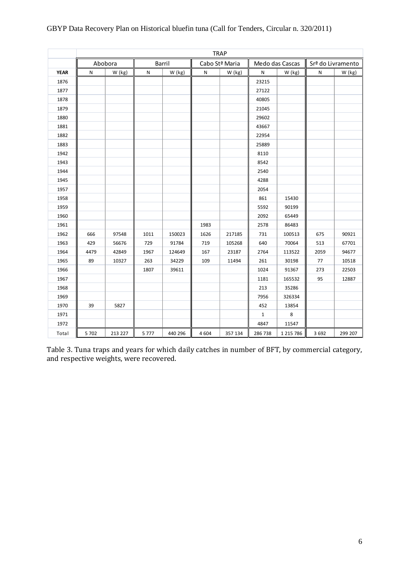|             | <b>TRAP</b> |         |      |         |       |                |              |                 |         |                   |
|-------------|-------------|---------|------|---------|-------|----------------|--------------|-----------------|---------|-------------------|
|             |             | Abobora |      | Barril  |       | Cabo Stª Maria |              | Medo das Cascas |         | Srª do Livramento |
| <b>YEAR</b> | ${\sf N}$   | W (kg)  | Ν    | W (kg)  | N     | W (kg)         | N            | W (kg)          | Ν       | W (kg)            |
| 1876        |             |         |      |         |       |                | 23215        |                 |         |                   |
| 1877        |             |         |      |         |       |                | 27122        |                 |         |                   |
| 1878        |             |         |      |         |       |                | 40805        |                 |         |                   |
| 1879        |             |         |      |         |       |                | 21045        |                 |         |                   |
| 1880        |             |         |      |         |       |                | 29602        |                 |         |                   |
| 1881        |             |         |      |         |       |                | 43667        |                 |         |                   |
| 1882        |             |         |      |         |       |                | 22954        |                 |         |                   |
| 1883        |             |         |      |         |       |                | 25889        |                 |         |                   |
| 1942        |             |         |      |         |       |                | 8110         |                 |         |                   |
| 1943        |             |         |      |         |       |                | 8542         |                 |         |                   |
| 1944        |             |         |      |         |       |                | 2540         |                 |         |                   |
| 1945        |             |         |      |         |       |                | 4288         |                 |         |                   |
| 1957        |             |         |      |         |       |                | 2054         |                 |         |                   |
| 1958        |             |         |      |         |       |                | 861          | 15430           |         |                   |
| 1959        |             |         |      |         |       |                | 5592         | 90199           |         |                   |
| 1960        |             |         |      |         |       |                | 2092         | 65449           |         |                   |
| 1961        |             |         |      |         | 1983  |                | 2578         | 86483           |         |                   |
| 1962        | 666         | 97548   | 1011 | 150023  | 1626  | 217185         | 731          | 100513          | 675     | 90921             |
| 1963        | 429         | 56676   | 729  | 91784   | 719   | 105268         | 640          | 70064           | 513     | 67701             |
| 1964        | 4479        | 42849   | 1967 | 124649  | 167   | 23187          | 2764         | 113522          | 2059    | 94677             |
| 1965        | 89          | 10327   | 263  | 34229   | 109   | 11494          | 261          | 30198           | 77      | 10518             |
| 1966        |             |         | 1807 | 39611   |       |                | 1024         | 91367           | 273     | 22503             |
| 1967        |             |         |      |         |       |                | 1181         | 165532          | 95      | 12887             |
| 1968        |             |         |      |         |       |                | 213          | 35286           |         |                   |
| 1969        |             |         |      |         |       |                | 7956         | 326334          |         |                   |
| 1970        | 39          | 5827    |      |         |       |                | 452          | 13854           |         |                   |
| 1971        |             |         |      |         |       |                | $\mathbf{1}$ | 8               |         |                   |
| 1972        |             |         |      |         |       |                | 4847         | 11547           |         |                   |
| Total       | 5 702       | 213 227 | 5777 | 440 296 | 4 604 | 357 134        | 286 738      | 1 215 786       | 3 6 9 2 | 299 207           |

Table 3. Tuna traps and years for which daily catches in number of BFT, by commercial category, and respective weights, were recovered.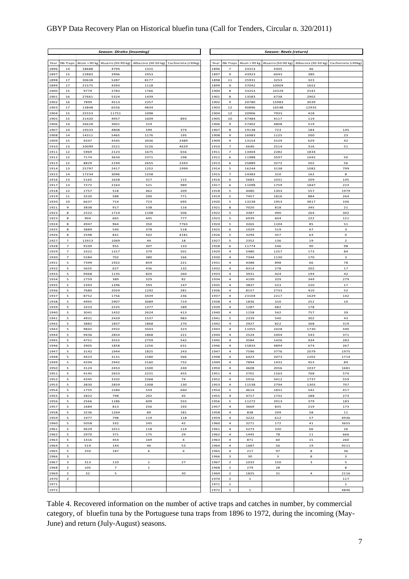### GBYP Data Recovery Plan on Historical bluefin tuna (Call for Tenders, Circular n. 320/2011)

|              |                                           |                | Season: Direito (incoming) |                     |                           |              |                                  |                | Season: Revés (return) |                                |                           |
|--------------|-------------------------------------------|----------------|----------------------------|---------------------|---------------------------|--------------|----------------------------------|----------------|------------------------|--------------------------------|---------------------------|
| Year         | Nb Traps                                  | Atum > 90 kg   | Atuarro (50-90 kg)         | Albacora (30-50 kg) | Cachorreta (<30kg)        | Year         | Nb Traps                         | Atum > 90 kg   | Atuarro (50-90 kg)     | Albacora (30-50 kg)            | Cachorreta (<30kg)        |
| 1896         | 14                                        | 18688          | 4794                       | 1315                |                           | 1896         | $\overline{7}$                   | 33313          | 4305                   | 46                             |                           |
| 1897         | 15                                        | 22883          | 3996                       | 2953                |                           | 1897         | 9                                | 43923          | 6043                   | 380                            |                           |
| 1898         | 17                                        | 30638          | 5287                       | 8177                |                           | 1898         | 11                               | 25931          | 3253                   | 323                            |                           |
| 1899<br>1900 | 17<br>15                                  | 21575<br>9779  | 4393<br>2783               | 1118<br>1766        |                           | 1899<br>1900 | $\mathbf{9}$<br>8                | 37042<br>33253 | 10004<br>10329         | 1652<br>2541                   |                           |
| 1901         | 16                                        | 27661          | 5324                       | 1439                |                           | 1901         | 8                                | 13583          | 6738                   | 2902                           |                           |
| 1902         | 16                                        | 7899           | 4513                       | 2357                |                           | 1902         | $\mathbf{9}$                     | 20780          | 15983                  | 3039                           |                           |
| 1903         | 17                                        | 13848          | 6556                       | 4834                |                           | 1903         | 12                               | 40896          | 16548                  | 12935                          |                           |
| 1904         | 15                                        | 25553          | 11751                      | 1098                |                           | 1904         | 12                               | 20906          | 7933                   | 418                            |                           |
| 1905         | 15                                        | 21420          | 4957                       | 1609                | 893                       | 1905         | 10                               | 47484          | 4117                   | 119                            |                           |
| 1906<br>1907 | 14<br>14                                  | 26628<br>19333 | 3001<br>4808               | 319<br>599          | 374                       | 1906<br>1907 | 9<br>8                           | 57402<br>19138 | 4808<br>723            | 519<br>184                     | 145                       |
| 1908         | 14                                        | 14311          | 5465                       | 1176                | 195                       | 1908         | 9                                | 16983          | 1125                   | 500                            | 23                        |
| 1909         | 15                                        | 9347           | 4345                       | 3036                | 2489                      | 1909         | $\mathbf{9}$                     | 13154          | 5529                   | 629                            | 42                        |
| 1910         | 13                                        | 10099          | 2521                       | 3126                | 4629                      | 1910         | $\overline{7}$                   | 6640           | 2514                   | 316                            | 51                        |
| 1911         | 12                                        | 5969           | 2123                       | 1675                | 656                       | 1911         | $\overline{z}$                   | 13404          | 2282                   | 1834                           |                           |
| 1912<br>1913 | 12<br>12                                  | 7174<br>8829   | 3634<br>2194               | 2371<br>2655        | 198<br>2343               | 1912<br>1913 | 6<br>6                           | 11988<br>25889 | 3597<br>3272           | 1042<br>502                    | 50<br>56                  |
| 1914         | 13                                        | 25797          | 2417                       | 1252                | 1999                      | 1914         | 5                                | 16244          | 3138                   | 1082                           | 799                       |
| 1915         | 14                                        | 17234          | 3096                       | 1258                |                           | 1915         | $\overline{z}$                   | 14383          | 310                    | 162                            | 8                         |
| 1916         | 13                                        | 5165           | 1628                       | 317                 | 115                       | 1916         | 6                                | 5683           | 1031                   | 209                            | 145                       |
| 1917         | 13                                        | 7272           | 2163                       | 521                 | 989                       | 1917         | 6                                | 11098          | 1759                   | 1847                           | 223                       |
| 1918<br>1919 | 12<br>$1\,1$                              | 1757<br>3220   | 518<br>588                 | 462<br>200          | 209<br>771                | 1918<br>1919 | 5<br>5                           | 4480<br>7457   | 1303<br>1816           | 557<br>884                     | 1979<br>264               |
| 1920         | 10                                        | 6637           | 714                        | 723                 | 695                       | 1920         | 5                                | 13238          | 1953                   | 3817                           | 106                       |
| 1921         | 9                                         | 3838           | 917                        | 538                 | 116                       | 1921         | 8                                | 7020           | 818                    | 345                            | 21                        |
| 1922         | 8                                         | 2522           | 1714                       | 1108                | 506                       | 1922         | 5                                | 3387           | 490                    | 264                            | 302                       |
| 1923         | 8                                         | 904            | 665                        | 445                 | 777                       | 1923         | 5                                | 6939           | 604                    | 222                            | 121                       |
| 1924         | 8<br>8                                    | 4947           | 964                        | 350<br>378          | 7765                      | 1924         | 5<br>6                           | 3265           | 1104<br>519            | 85<br>67                       | ${\bf 51}$<br>$\mathbf 3$ |
| 1925<br>1926 | 8                                         | 3889<br>2598   | 540<br>831                 | 502                 | 518<br>4181               | 1925<br>1926 | 5                                | 1029<br>3294   | 357                    | 63                             | $\mathbf 0$               |
| 1927         | $\overline{\phantom{a}}$                  | 12913          | 1069                       | 44                  | 18                        | 1927         | 5                                | 2352           | 136                    | 19                             | $\mathbf 2$               |
| 1928         | $\overline{7}$                            | 9109           | 955                        | 307                 | 133                       | 1928         | 6                                | 11774          | 546                    | 90                             | 98                        |
| 1929         | 7                                         | 3322           | 1317                       | 379                 | 501                       | 1929         | $\bf{4}$                         | 5480           | 1257                   | 173                            | 84                        |
| 1930         | $\overline{\phantom{a}}$                  | 5584           | 702                        | 380                 | 166                       | 1930         | 4                                | 7344           | 1130                   | 170                            | 3                         |
| 1931<br>1932 | 5<br>5                                    | 7399<br>5655   | 1922<br>627                | 859<br>436          | 221<br>132                | 1931<br>1932 | $\overline{4}$<br>$\bf{4}$       | 4388<br>8314   | 898<br>278             | 66<br>202                      | 78<br>17                  |
| 1933         | 5                                         | 9468           | 1135                       | 820                 | 260                       | 1933         | $\overline{4}$                   | 3931           | 424                    | 194                            | 42                        |
| 1934         | 5                                         | 2759           | 389                        | 329                 | 82                        | 1934         | $\overline{4}$                   | 4199           | 329                    | 349                            | 279                       |
| 1935         | 5                                         | 2393           | 1296                       | 593                 | 147                       | 1935         | $\ensuremath{\mathsf{4}}$        | 3837           | 523                    | 220                            | 17                        |
| 1936         | 5                                         | 7680           | 2059                       | 1292                | 281                       | 1936         | $\overline{4}$                   | 8157           | 2733                   | 410                            | 52                        |
| 1937<br>1938 | 5<br>5                                    | 8752<br>4995   | 1756<br>2907               | 3439<br>3089        | 236<br>719                | 1937<br>1938 | 4<br>$\it 4$                     | 23104<br>1836  | 2217<br>310            | 1629<br>252                    | 142<br>10                 |
| 1939         | 5                                         | 3333           | 2225                       | 1377                | 189                       | 1939         | $\overline{a}$                   | 1287           | 682                    | 178                            |                           |
| 1940         | 5                                         | 3041           | 1432                       | 2624                | 413                       | 1940         | 4                                | 1158           | 542                    | 757                            | 39                        |
| 1941         | 5                                         | 4931           | 2429                       | 1537                | 983                       | 1941         | 5                                | 2339           | 540                    | 302                            | 43                        |
| 1942         | 5                                         | 3882           | 1837                       | 1868                | 270                       | 1942         | $\bf{4}$                         | 2927           | 822                    | 368                            | 319                       |
| 1943<br>1944 | 5<br>5                                    | 9842<br>9436   | 2932<br>2854               | 3503<br>1868        | 323<br>221                | 1943<br>1944 | 4<br>$\overline{4}$              | 11055<br>2524  | 2428<br>1004           | 1730<br>543                    | 590<br>371                |
| 1945         | 5                                         | 4751           | 3552                       | 2759                | 542                       | 1945         | $\bf{4}$                         | 3584           | 1426                   | 434                            | 283                       |
| 1946         | 5                                         | 3905           | 1858                       | 1256                | 631                       | 1946         | 4                                | 15833          | 4894                   | 674                            | 267                       |
| 1947         | 5                                         | 3142           | 1944                       | 1825                | 243                       | 1947         | $\overline{a}$                   | 7596           | 3776                   | 2079                           | 1975                      |
| 1948         | 5                                         | 4423           | 3131                       | 1580                | 566                       | 1948         | $\bf{4}$                         | 6423           | 2073                   | 1202                           | 1714                      |
| 1949<br>1950 | 5<br>5                                    | 4294<br>3124   | 2942<br>2453               | 2160<br>1500        | 732<br>240                | 1949<br>1950 | 4<br>$\overline{4}$              | 7894<br>4608   | 1432<br>2056           | 453<br>1037                    | 84<br>1681                |
| 1951         | 5                                         | 4145           | 2653                       | 2231                | 455                       | 1951         | $\bf{4}$                         | 2701           | 1163                   | 768                            | 574                       |
| 1952         | 5                                         | 4345           | 3102                       | 2368                | 74                        | 1952         | $\sqrt{4}$                       | 5916           | 3412                   | 1737                           | 559                       |
| 1953         | 5                                         | 3830           | 2859                       | 1308                | 130                       | 1953         | $\overline{a}$                   | 11538          | 2794                   | 1305                           | 707                       |
| 1954<br>1955 | 5                                         | 1755           | 1580                       | 559                 | 640                       | 1954         | 5                                | 4614           | 1831                   | 542                            | 417                       |
| 1956         | 5<br>5                                    | 2822<br>2566   | 798<br>1186                | 202<br>609          | 45<br>555                 | 1955<br>1956 | $\sqrt{4}$<br>5                  | 4717<br>11272  | 1732<br>2013           | 288<br>379                     | 273<br>183                |
| 1957         | 5                                         | 1684           | 813                        | 256                 | 193                       | 1957         | $\overline{4}$                   | 3669           | 835                    | 219                            | 173                       |
| 1958         | 5                                         | 3236           | 1269                       | 89                  | 181                       | 1958         | $\overline{4}$                   | 838            | 209                    | 58                             | ${\bf 11}$                |
| 1959         | 5                                         | 1977           | 798                        | 119                 | 118                       | 1959         | $\it 4$                          | 3222           | 612                    | 57                             | 4936                      |
| 1960         | 5                                         | 5058           | 332                        | 245                 | 42                        | 1960         | $\overline{a}$                   | 3271           | 172                    | 41                             | 3655                      |
| 1961<br>1962 | 5<br>5                                    | 4629<br>2970   | 1011<br>371                | 118<br>175          | 114<br>29                 | 1961<br>1962 | $\overline{4}$<br>$\overline{4}$ | 5273<br>1445   | 330<br>78              | 66<br>$\mathbf{1}\,\mathbf{1}$ | 26<br>666                 |
| 1963         | 5                                         | 1416           | 454                        | 169                 | $\overline{a}$            | 1963         | $\overline{a}$                   | 871            | 60                     | 15                             | 260                       |
| 1964         | 5                                         | 519            | 144                        | 46                  | 53                        | 1964         | $\bf{4}$                         | 1687           | 56                     | 19                             | 9211                      |
| 1965         | 5                                         | 250            | 187                        | 6                   | $\ensuremath{\mathsf{4}}$ | 1965         | 4                                | 217            | 97                     | 8                              | 36                        |
| 1966         | 3                                         |                |                            |                     |                           | 1966         | 3                                | 30             | 3                      | 8                              | 3                         |
| 1967<br>1968 | 3                                         | 313            | 110<br>$\overline{z}$      | $\mathbf{1}$        | 27                        | 1967<br>1968 | $\overline{2}$<br>$\overline{2}$ | 1033           | 150                    | 3                              | 5                         |
| 1969         | $\overline{2}$<br>$\overline{\mathbf{2}}$ | 105<br>32      | 5                          | $\mathbf 1$         | 30                        | 1969         | $\overline{\mathbf{2}}$          | 279<br>1825    | 28<br>31               | $\boldsymbol{4}$               | 8<br>2116                 |
| 1970         | $\overline{\mathbf{2}}$                   |                |                            |                     |                           | 1970         | $\mathbf{2}$                     | $\mathbf 1$    |                        |                                | 117                       |
| 1971         |                                           |                |                            |                     |                           | 1971         | $\mathbf 1$                      |                |                        |                                | $\mathbf 1$               |
| 1972         |                                           |                |                            |                     |                           | 1972         | $\mathbf 1$                      | $\mathbf 1$    |                        |                                | 4846                      |

Table 4. Recovered information on the number of active traps and catches in number, by commercial category, of bluefin tuna by the Portuguese tuna traps from 1896 to 1972, during the incoming (May-June) and return (July-August) seasons.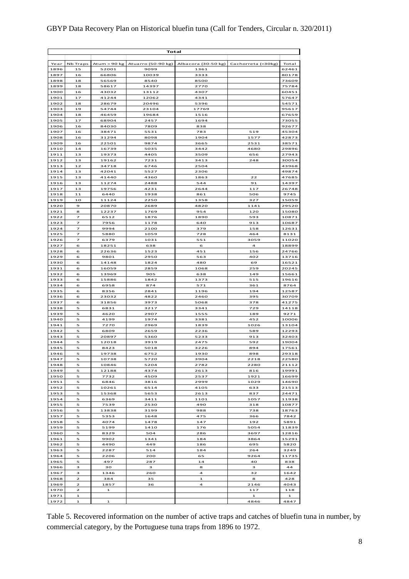| GBYP Data Recovery Plan on Historical bluefin tuna (Call for Tenders, Circular n. 320/2011) |  |  |  |  |  |  |  |
|---------------------------------------------------------------------------------------------|--|--|--|--|--|--|--|
|---------------------------------------------------------------------------------------------|--|--|--|--|--|--|--|

|              |                            |                | Total              |                     |                    |                |
|--------------|----------------------------|----------------|--------------------|---------------------|--------------------|----------------|
|              |                            |                |                    |                     |                    |                |
| Year         | Nb Traps                   | Atum > 90 kg   | Atuarro (50-90 kg) | Albacora (30-50 kg) | Cachorreta (<30kg) | Total          |
| 1896         | 15                         | 52001          | 9099               | 1361                |                    | 62461          |
| 1897         | 16                         | 66806          | 10039              | 3333                |                    | 80178          |
| 1898<br>1899 | 18<br>18                   | 56569<br>58617 | 8540<br>14397      | 8500<br>2770        |                    | 73609<br>75784 |
| 1900         | 16                         | 43032          | 13112              | 4307                |                    | 60451          |
| 1901         | 17                         | 41244          | 12062              | 4341                |                    | 57647          |
| 1902         | 18                         | 28679          | 20496              | 5396                |                    | 54571          |
| 1903         | 19                         | 54744          | 23104              | 17769               |                    | 95617          |
| 1904         | 18                         | 46459          | 19684              | 1516                |                    | 67659          |
| 1905         | 17                         | 68904          | 2457               | 1694                |                    | 73055          |
| 1906         | 16                         | 84030          | 7809               | 838                 |                    | 92677          |
| 1907         | 16                         | 38471          | 5531               | 783                 | 519                | 45304          |
| 1908<br>1909 | 16<br>16                   | 31294<br>22501 | 8098<br>9874       | 1904<br>3665        | 1577<br>2531       | 42873<br>38571 |
| 1910         | 14                         | 16739          | 5035               | 3442                | 4680               | 29896          |
| 1911         | 13                         | 19373          | 4405               | 3509                | 656                | 27943          |
| 1912         | 13                         | 19162          | 7231               | 3413                | 248                | 30054          |
| 1913         | 12                         | 34718          | 6746               | 2504                |                    | 43968          |
| 1914         | 13                         | 42041          | 5527               | 2306                |                    | 49874          |
| 1915         | 13                         | 41440          | 4360               | 1863                | 22                 | 47685          |
| 1916         | 13                         | 11274          | 2488               | 544                 | 91                 | 14397          |
| 1917         | 13                         | 19756          | 4231               | 2644                | 117                | 26748          |
| 1918<br>1919 | 11<br>10                   | 6440<br>11124  | 1938<br>2250       | 861<br>1358         | 506<br>327         | 9745<br>15059  |
| 1920         | $\mathbf{9}$               | 20870          | 2689               | 4820                | 1141               | 29520          |
| 1921         | 8                          | 12237          | 1769               | 954                 | 120                | 15080          |
| 1922         | $\overline{\phantom{a}}$   | 6512           | 1876               | 1890                | 593                | 10871          |
| 1923         | $\overline{ }$             | 7956           | 1178               | 640                 | 913                | 10687          |
| 1924         | $\overline{z}$             | 9994           | 2100               | 379                 | 158                | 12631          |
| 1925         | 7                          | 5880           | 1059               | 728                 | 464                | 8131           |
| 1926         | $\overline{\phantom{a}}$   | 6379           | 1031               | 551                 | 3059               | 11020          |
| 1927         | 6                          | 18251          | 638                | 6                   | $\overline{a}$     | 18899          |
| 1928         | 6                          | 22636          | 1523               | 451                 | 156                | 24766          |
| 1929<br>1930 | 6<br>6                     | 9801<br>14148  | 2950<br>1824       | 563<br>480          | 402<br>69          | 13716<br>16521 |
| 1931         | 6                          | 16059          | 2859               | 1068                | 259                | 20245          |
| 1932         | 6                          | 13969          | 905                | 638                 | 149                | 15661          |
| 1933         | 6                          | 15886          | 1842               | 1373                | 515                | 19616          |
| 1934         | 6                          | 6958           | 874                | 571                 | 361                | 8764           |
| 1935         | 6                          | 8356           | 2841               | 1196                | 194                | 12587          |
| 1936         | 6                          | 23032          | 4822               | 2460                | 395                | 30709          |
| 1937         | 6                          | 31856          | 3973               | 5068                | 378                | 41275          |
| 1938         | 5                          | 6831<br>4620   | 3217               | 3341                | 729                | 14118          |
| 1939<br>1940 | 5<br>5                     | 4199           | 2907<br>1974       | 1555<br>3381        | 189<br>452         | 9271<br>10006  |
| 1941         | 5                          | 7270           | 2969               | 1839                | 1026               | 13104          |
| 1942         | 5                          | 6809           | 2659               | 2236                | 589                | 12293          |
| 1943         | 5                          | 20897          | 5360               | 5233                | 913                | 32403          |
| 1944         | 5                          | 12018          | 3919               | 2475                | 592                | 19004          |
| 1945         | 5                          | 8423           | 5018               | 3226                | 894                | 17561          |
| 1946         | 5                          | 19738          | 6752               | 1930                | 898                | 29318          |
| 1947         | 5                          | 10738          | 5720               | 3904                | 2218               | 22580          |
| 1948         | 5                          | 10846          | 5204               | 2782                | 2280               | 21112          |
| 1949<br>1950 | 5<br>5                     | 12188<br>7732  | 4374<br>4509       | 2613<br>2537        | 816<br>1921        | 19991<br>16699 |
| 1951         | 5                          | 6846           | 3816               | 2999                | 1029               | 14690          |
| 1952         | 5                          | 10261          | 6514               | 4105                | 633                | 21513          |
| 1953         | 5                          | 15368          | 5653               | 2613                | 837                | 24471          |
| 1954         | 5                          | 6369           | 3411               | 1101                | 1057               | 11938          |
| 1955         | 5                          | 7539           | 2530               | 490                 | 318                | 10877          |
| 1956         | 5                          | 13838          | 3199               | 988                 | 738                | 18763          |
| 1957         | 5                          | 5353           | 1648               | 475                 | 366                | 7842           |
| 1958         | 5                          | 4074           | 1478               | 147                 | 192                | 5891           |
| 1959         | 5                          | 5199           | 1410               | 176                 | 5054               | 11839          |
| 1960<br>1961 | 5<br>5                     | 8329<br>9902   | 504<br>1341        | 286<br>184          | 3697<br>3864       | 12816<br>15291 |
| 1962         | 5                          | 4490           | 449                | 186                 | 695                | 5820           |
| 1963         | 5                          | 2287           | 514                | 184                 | 264                | 3249           |
| 1964         | 5                          | 2206           | 200                | 65                  | 9264               | 11735          |
| 1965         | 5                          | 497            | 287                | 14                  | 40                 | 838            |
| 1966         | з                          | 30             | з                  | 8                   | 3                  | 44             |
| 1967         | з                          | 1346           | 260                | 4                   | 32                 | 1642           |
| 1968         | 2                          | 384            | 35                 | 1                   | 8                  | 428            |
| 1969         | $\mathbf{z}$               | 1857           | 36                 | 4                   | 2146               | 4043           |
| 1970         | 2                          | $\mathbf{1}$   |                    |                     | 117                | 118            |
| 1971<br>1972 | $\mathbf 1$<br>$\mathbf 1$ | $\mathbf 1$    |                    |                     | 1<br>4846          | 1<br>4847      |

Table 5. Recovered information on the number of active traps and catches of bluefin tuna in number, by commercial category, by the Portuguese tuna traps from 1896 to 1972.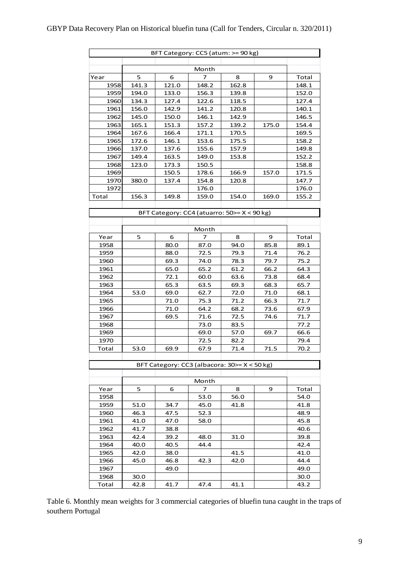|       |       | BFT Category: CC5 (atum: >= 90 kg)           |              |              |       |              |
|-------|-------|----------------------------------------------|--------------|--------------|-------|--------------|
|       |       |                                              |              |              |       |              |
|       |       |                                              | Month        |              |       |              |
| Year  | 5     | 6                                            | 7            | 8            | 9     | Total        |
| 1958  | 141.3 | 121.0                                        | 148.2        | 162.8        |       | 148.1        |
| 1959  | 194.0 | 133.0                                        | 156.3        | 139.8        |       | 152.0        |
| 1960  | 134.3 | 127.4                                        | 122.6        | 118.5        |       | 127.4        |
| 1961  | 156.0 | 142.9                                        | 141.2        | 120.8        |       | 140.1        |
| 1962  | 145.0 | 150.0                                        | 146.1        | 142.9        |       | 146.5        |
| 1963  | 165.1 | 151.3                                        | 157.2        | 139.2        | 175.0 | 154.4        |
| 1964  | 167.6 | 166.4                                        | 171.1        | 170.5        |       | 169.5        |
| 1965  | 172.6 | 146.1                                        | 153.6        | 175.5        |       | 158.2        |
| 1966  | 137.0 | 137.6                                        | 155.6        | 157.9        |       | 149.8        |
| 1967  | 149.4 | 163.5                                        | 149.0        | 153.8        |       | 152.2        |
| 1968  | 123.0 | 173.3                                        | 150.5        |              |       | 158.8        |
| 1969  |       | 150.5                                        | 178.6        | 166.9        | 157.0 | 171.5        |
| 1970  | 380.0 | 137.4                                        | 154.8        | 120.8        |       | 147.7        |
| 1972  |       |                                              | 176.0        |              |       | 176.0        |
| Total | 156.3 | 149.8                                        | 159.0        | 154.0        | 169.0 | 155.2        |
|       |       |                                              |              |              |       |              |
|       |       | BFT Category: CC4 (atuarro: 50>= X < 90 kg)  |              |              |       |              |
|       |       |                                              |              |              |       |              |
|       |       |                                              | Month        |              |       |              |
| Year  | 5     | 6                                            | 7            | 8            | 9     | Total        |
| 1958  |       | 80.0                                         | 87.0         | 94.0         | 85.8  | 89.1         |
| 1959  |       | 88.0                                         | 72.5         | 79.3         | 71.4  | 76.2         |
| 1960  |       | 69.3                                         | 74.0         | 78.3         | 79.7  | 75.2         |
| 1961  |       | 65.0                                         | 65.2         | 61.2         | 66.2  | 64.3         |
| 1962  |       | 72.1                                         | 60.0         | 63.6         | 73.8  | 68.4         |
| 1963  |       | 65.3                                         | 63.5         | 69.3         | 68.3  | 65.7         |
| 1964  | 53.0  | 69.0                                         | 62.7         | 72.0         | 71.0  | 68.1         |
| 1965  |       | 71.0                                         | 75.3         | 71.2         | 66.3  | 71.7         |
| 1966  |       | 71.0                                         | 64.2         | 68.2         | 73.6  | 67.9         |
| 1967  |       | 69.5                                         | 71.6         | 72.5         | 74.6  | 71.7         |
| 1968  |       |                                              | 73.0         | 83.5         |       | 77.2         |
| 1969  |       |                                              | 69.0<br>72.5 | 57.0         | 69.7  | 66.6         |
| 1970  | 53.0  | 69.9                                         | 67.9         | 82.2<br>71.4 | 71.5  | 79.4<br>70.2 |
| Total |       |                                              |              |              |       |              |
|       |       | BFT Category: CC3 (albacora: 30>= X < 50 kg) |              |              |       |              |
|       |       |                                              |              |              |       |              |
|       |       |                                              | Month        |              |       |              |
| Year  | 5     | 6                                            | 7            | 8            | 9     | Total        |
| 1958  |       |                                              | 53.0         | 56.0         |       | 54.0         |
| 1959  | 51.0  | 34.7                                         | 45.0         | 41.8         |       | 41.8         |
| 1960  | 46.3  | 47.5                                         | 52.3         |              |       | 48.9         |
| 1961  | 41.0  | 47.0                                         | 58.0         |              |       | 45.8         |
| 1962  | 41.7  | 38.8                                         |              |              |       | 40.6         |
| 1963  | 42.4  | 39.2                                         | 48.0         | 31.0         |       | 39.8         |
| 1964  | 40.0  | 40.5                                         | 44.4         |              |       | 42.4         |
| 1965  | 42.0  | 38.0                                         |              | 41.5         |       | 41.0         |
| 1966  | 45.0  | 46.8                                         | 42.3         | 42.0         |       | 44.4         |
| 1967  |       | 49.0                                         |              |              |       | 49.0         |
| 1968  | 30.0  |                                              |              |              |       | 30.0         |
| Total | 42.8  | 41.7                                         | 47.4         | 41.1         |       | 43.2         |

Table 6. Monthly mean weights for 3 commercial categories of bluefin tuna caught in the traps of southern Portugal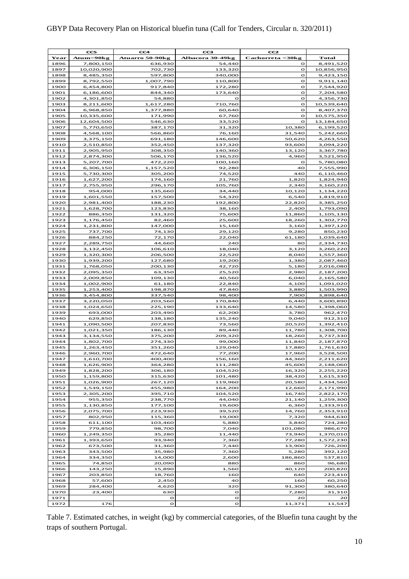### GBYP Data Recovery Plan on Historical bluefin tuna (Call for Tenders, Circular n. 320/2011)

|              | CC5                    | CC4                    | CC3                | ccz              |                         |
|--------------|------------------------|------------------------|--------------------|------------------|-------------------------|
| Year         | Atum>90kg              | Atuarro 50-90kg        | Albacora 30-49kg   | Cachorreta <30kg | Total                   |
| 1896         | 7,800,150              | 636,930                | 54,440             | $\circ$          | 8,491,520               |
| 1897         | 10,020,900             | 702,730                | 133,320            | O                | 10,856,950              |
| 1898         | 8,485,350              | 597,800                | 340,000            | O                | 9,423,150               |
| 1899         | 8,792,550              | 1,007,790              | 110,800            | O                | 9,911,140               |
| 1900         | 6,454,800              | 917,840                | 172,280            | $\mathbf o$      | 7,544,920               |
| 1901         | 6,186,600              | 844,340                | 173,640            | O                | 7,204,580               |
| 1902         | 4,301,850              | 54,880                 | $\circ$            | O                | 4,356,730               |
| 1903<br>1904 | 8,211,600<br>6,968,850 | 1,617,280<br>1,377,880 | 710,760<br>60,640  | o<br>$\circ$     | 10,539,640<br>8,407,370 |
| 1905         | 10,335,600             | 171,990                | 67,760             | $\mathbf o$      | 10,575,350              |
| 1906         | 12,604,500             | 546,630                | 33,520             | $\Omega$         | 13,184,650              |
| 1907         | 5,770,650              | 387,170                | 31,320             | 10,380           | 6,199,520               |
| 1908         | 4,568,100              | 566,860                | 76,160             | 31,540           | 5,242,660               |
| 1909         | 3,375,150              | 691,180                | 146,600            | 50,620           | 4,263,550               |
| 1910         | 2,510,850              | 352,450                | 137,320            | 93,600           | 3,094,220               |
| 1911         | 2,905,950              | 308,350                | 140,360            | 13,120           | 3,367,780               |
| 1912         | 2,874,300              | 506,170                | 136,520            | 4,960            | 3,521,950               |
| 1913         | 5,207,700              | 472,220                | 100,160            | $\circ$          | 5,780,080               |
| 1914         | 6,306,150              | 1,157,520              | 92,280             | 40               | 7,555,990               |
| 1915<br>1916 | 5,730,300<br>1,627,200 | 305,200<br>174,160     | 74,520<br>21,760   | 440<br>1,820     | 6,110,460<br>1,824,940  |
| 1917         | 2,755,950              | 296,170                | 105,760            | 2,340            | 3,160,220               |
| 1918         | 954,000                | 135,660                | 34,440             | 10,120           | 1,134,220               |
| 1919         | 1,601,550              | 157,500                | 54,320             | 6,540            | 1,819,910               |
| 1920         | 2,981,400              | 188,230                | 192,800            | 22,820           | 3,385,250               |
| 1921         | 1,628,700              | 123,830                | 38,160             | 2,400            | 1,793,090               |
| 1922         | 886,350                | 131,320                | 75,600             | 11,860           | 1,105,130               |
| 1923         | 1,176,450              | 82,460                 | 25,600             | 18,260           | 1,302,770               |
| 1924         | 1,231,800              | 147,000                | 15,160             | 3,160            | 1,397,120               |
| 1925         | 737,700                | 74,130                 | 29,120             | 9,280            | 850,230                 |
| 1926<br>1927 | 884,250                | 72,170<br>44,660       | 22,040<br>240      | 61,180           | 1,039,640               |
| 1928         | 2,289,750<br>3,132,450 | 106,610                | 18,040             | 80<br>3,120      | 2,334,730<br>3,260,220  |
| 1929         | 1,320,300              | 206,500                | 22,520             | 8,040            | 1,557,360               |
| 1930         | 1,939,200              | 127,680                | 19,200             | 1,380            | 2,087,460               |
| 1931         | 1,768,050              | 200,130                | 42,720             | 5,180            | 2,016,080               |
| 1932         | 2,095,350              | 63,350                 | 25,520             | 2,980            | 2,187,200               |
| 1933         | 2,009,850              | 109,130                | 40,560             | 6,040            | 2,165,580               |
| 1934         | 1,002,900              | 61,180                 | 22,840             | 4,100            | 1,091,020               |
| 1935         | 1,253,400              | 198,870                | 47,840             | 3,880            | 1,503,990               |
| 1936         | 3,454,800              | 337,540                | 98,400             | 7,900            | 3,898,640               |
| 1937         | 3,220,050              | 203,560                | 170,840            | 6,440            | 3,600,890               |
| 1938<br>1939 | 1,024,650              | 225,190                | 133,640            | 14,580           | 1,398,060               |
| 1940         | 693,000<br>629,850     | 203,490<br>138,180     | 62,200<br>135,240  | 3,780<br>9,040   | 962,470<br>912,310      |
| 1941         | 1,090,500              | 207,830                | 73,560             | 20,520           | 1,392,410               |
| 1942         | 1,021,350              | 186,130                | 89,440             | 11,780           | 1,308,700               |
| 1943         | 3,134,550              | 375,200                | 209,320            | 18,260           | 3,737,330               |
| 1944         | 1,802,700              | 274,330                | 99,000             | 11,840           | 2,187,870               |
| 1945         | 1,263,450              | 351,260                | 129,040            | 17,880           | 1,761,630               |
| 1946         | 2.960.700              | 472.640                | 77.200             | 17.960           | 3.528.500               |
| 1947         | 1,610,700              | 400,400                | 156,160            | 44,360           | 2,211,620               |
| 1948         | 1,626,900              | 364,280                | 111,280            | 45,600           | 2,148,060               |
| 1949         | 1,828,200              | 306,180                | 104,520            | 16,320           | 2,255,220               |
| 1950<br>1951 | 1,159,800              | 315,630                | 101,480            | 38,420           | 1,615,330               |
| 1952         | 1,026,900<br>1,539,150 | 267,120<br>455,980     | 119,960<br>164,200 | 20,580<br>12,660 | 1,434,560<br>2,171,990  |
| 1953         | 2,305,200              | 395,710                | 104,520            | 16,740           | 2,822,170               |
| 1954         | 955,350                | 238,770                | 44,040             | 21,140           | 1,259,300               |
| 1955         | 1,130,850              | 177,100                | 19,600             | 6,360            | 1,333,910               |
| 1956         | 2,075,700              | 223,930                | 39,520             | 14,760           | 2,353,910               |
| 1957         | 802,950                | 115,360                | 19,000             | 7,320            | 944,630                 |
| 1958         | 611,100                | 103,460                | 5,880              | 3,840            | 724,280                 |
| 1959         | 779,850                | 98,700                 | 7,040              | 101,080          | 986,670                 |
| 1960         | 1,249,350              | 35,280                 | 11,440             | 73,940           | 1,370,010               |
| 1961         | 1,393,650              | 93,940                 | 7,360              | 77,280           | 1,572,230               |
| 1962         | 673,500                | 31,360                 | 7,440              | 13,900           | 726,200                 |
| 1963<br>1964 | 343,500                | 35,980<br>14,000       | 7,360              | 5,280            | 392,120                 |
| 1965         | 334,350<br>74,850      | 20,090                 | 2,600<br>880       | 186,860<br>860   | 537,810<br>96,680       |
| 1966         | 143,250                | 15,890                 | 1,560              | 40,120           | 200,820                 |
| 1967         | 203,850                | 18,760                 | 160                | 640              | 223,410                 |
| 1968         | 57,600                 | 2,450                  | 40                 | 160              | 60,250                  |
| 1969         | 284,400                | 4,620                  | 320                | 91,300           | 380,640                 |
| 1970         | 23,400                 | 630                    | $\mathbf{o}$       | 7,280            | 31,310                  |
| 1971         |                        | о                      | $\mathbf O$        | 20               | 20                      |
| 1972         | 176                    | $\mathbf{o}$           | o                  | 11,371           | 11,547                  |

Table 7. Estimated catches, in weight (kg) by commercial categories, of the Bluefin tuna caught by the traps of southern Portugal.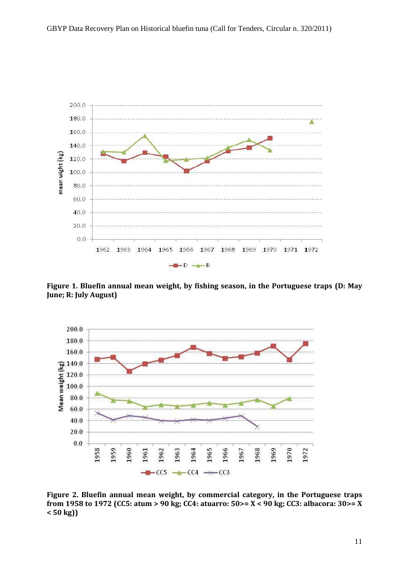

**Figure 1. Bluefin annual mean weight, by fishing season, in the Portuguese traps (D: May June; R: July August)**



**Figure 2. Bluefin annual mean weight, by commercial category, in the Portuguese traps from 1958 to 1972 (CC5: atum > 90 kg; CC4: atuarro: 50>= X < 90 kg; CC3: albacora: 30>= X < 50 kg))**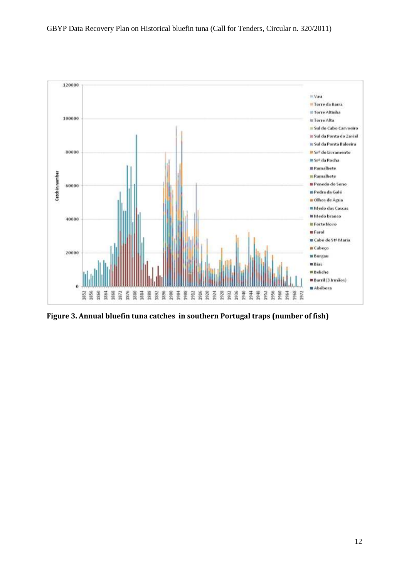

**Figure 3. Annual bluefin tuna catches in southern Portugal traps (number of fish)**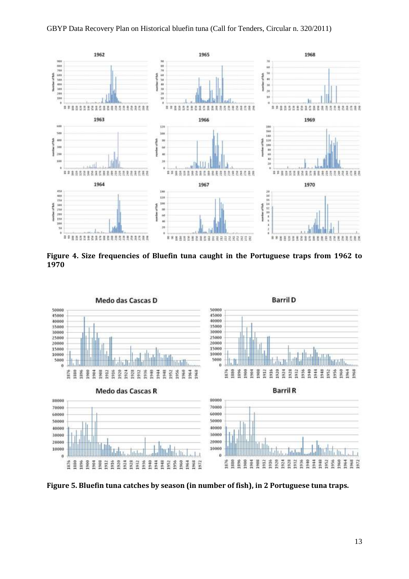

**Figure 4. Size frequencies of Bluefin tuna caught in the Portuguese traps from 1962 to 1970**



**Figure 5. Bluefin tuna catches by season (in number of fish), in 2 Portuguese tuna traps.**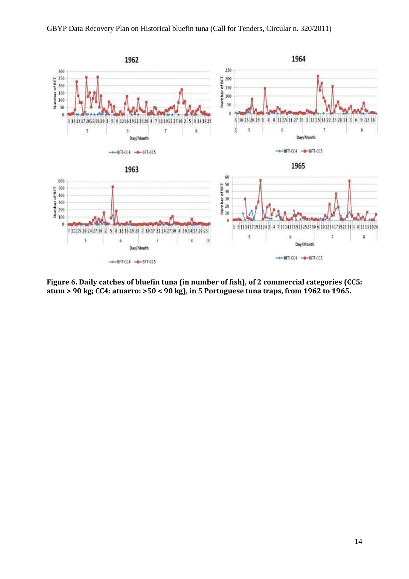

**Figure 6. Daily catches of bluefin tuna (in number of fish), of 2 commercial categories (CC5: atum > 90 kg; CC4: atuarro: >50 < 90 kg), in 5 Portuguese tuna traps, from 1962 to 1965.**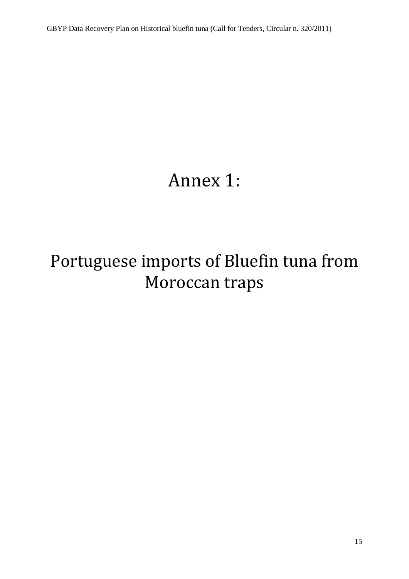# Annex 1:

# Portuguese imports of Bluefin tuna from Moroccan traps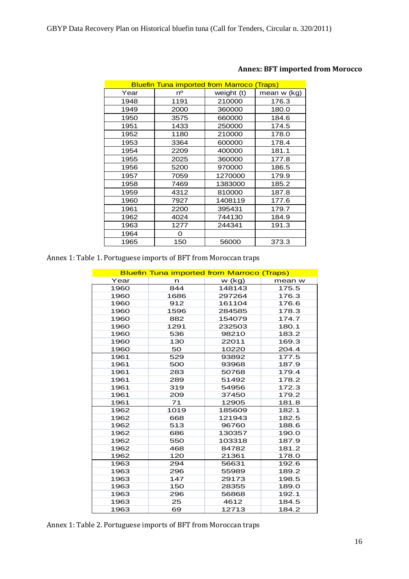|      |      | <b>Bluefin Tuna imported from Marroco (Traps)</b> |             |
|------|------|---------------------------------------------------|-------------|
| Year | nº   | weight (t)                                        | mean w (kg) |
| 1948 | 1191 | 210000                                            | 176.3       |
| 1949 | 2000 | 360000                                            | 180.0       |
| 1950 | 3575 | 660000                                            | 184.6       |
| 1951 | 1433 | 250000                                            | 174.5       |
| 1952 | 1180 | 210000                                            | 178.0       |
| 1953 | 3364 | 600000                                            | 178.4       |
| 1954 | 2209 | 400000                                            | 181.1       |
| 1955 | 2025 | 360000                                            | 177.8       |
| 1956 | 5200 | 970000                                            | 186.5       |
| 1957 | 7059 | 1270000                                           | 179.9       |
| 1958 | 7469 | 1383000                                           | 185.2       |
| 1959 | 4312 | 810000                                            | 187.8       |
| 1960 | 7927 | 1408119                                           | 177.6       |
| 1961 | 2200 | 395431                                            | 179.7       |
| 1962 | 4024 | 744130                                            | 184.9       |
| 1963 | 1277 | 244341                                            | 191.3       |
| 1964 | 0    |                                                   |             |
| 1965 | 150  | 56000                                             | 373.3       |

## **Annex: BFT imported from Morocco**

Annex 1: Table 1. Portuguese imports of BFT from Moroccan traps

|      |      | <b>Bluefin Tuna imported from Marroco (Traps)</b> |        |
|------|------|---------------------------------------------------|--------|
| Year | n    | $w$ (kg)                                          | mean w |
| 1960 | 844  | 148143                                            | 175.5  |
| 1960 | 1686 | 297264                                            | 176.3  |
| 1960 | 912  | 161104                                            | 176.6  |
| 1960 | 1596 | 284585                                            | 178.3  |
| 1960 | 882  | 154079                                            | 174.7  |
| 1960 | 1291 | 232503                                            | 180.1  |
| 1960 | 536  | 98210                                             | 183.2  |
| 1960 | 130  | 22011                                             | 169.3  |
| 1960 | 50   | 10220                                             | 204.4  |
| 1961 | 529  | 93892                                             | 177.5  |
| 1961 | 500  | 93968                                             | 187.9  |
| 1961 | 283  | 50768                                             | 179.4  |
| 1961 | 289  | 51492                                             | 178.2  |
| 1961 | 319  | 54956                                             | 172.3  |
| 1961 | 209  | 37450                                             | 179.2  |
| 1961 | 71   | 12905                                             | 181.8  |
| 1962 | 1019 | 185609                                            | 182.1  |
| 1962 | 668  | 121943                                            | 182.5  |
| 1962 | 513  | 96760                                             | 188.6  |
| 1962 | 686  | 130357                                            | 190.0  |
| 1962 | 550  | 103318                                            | 187.9  |
| 1962 | 468  | 84782                                             | 181.2  |
| 1962 | 120  | 21361                                             | 178.0  |
| 1963 | 294  | 56631                                             | 192.6  |
| 1963 | 296  | 55989                                             | 189.2  |
| 1963 | 147  | 29173                                             | 198.5  |
| 1963 | 150  | 28355                                             | 189.0  |
| 1963 | 296  | 56868                                             | 192.1  |
| 1963 | 25   | 4612                                              | 184.5  |
| 1963 | 69   | 12713                                             | 184.2  |

Annex 1: Table 2. Portuguese imports of BFT from Moroccan traps